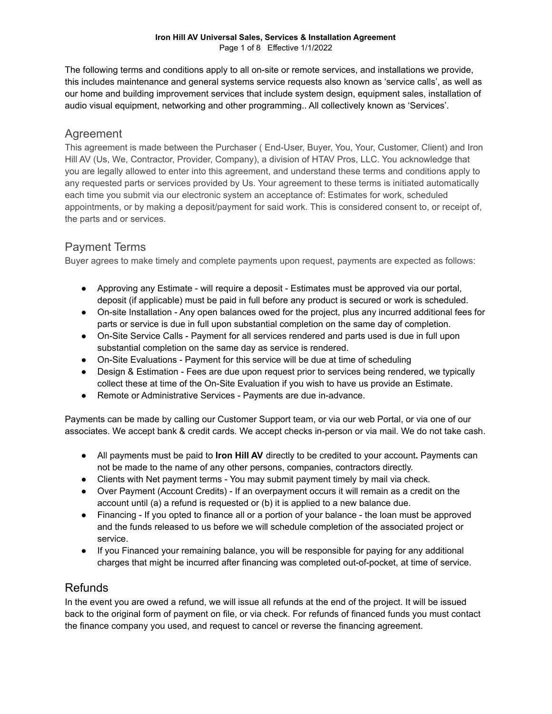#### **Iron Hill AV Universal Sales, Services & Installation Agreement** Page 1 of 8 Effective 1/1/2022

The following terms and conditions apply to all on-site or remote services, and installations we provide, this includes maintenance and general systems service requests also known as 'service calls', as well as our home and building improvement services that include system design, equipment sales, installation of audio visual equipment, networking and other programming.. All collectively known as 'Services'.

### Agreement

This agreement is made between the Purchaser ( End-User, Buyer, You, Your, Customer, Client) and Iron Hill AV (Us, We, Contractor, Provider, Company), a division of HTAV Pros, LLC. You acknowledge that you are legally allowed to enter into this agreement, and understand these terms and conditions apply to any requested parts or services provided by Us. Your agreement to these terms is initiated automatically each time you submit via our electronic system an acceptance of: Estimates for work, scheduled appointments, or by making a deposit/payment for said work. This is considered consent to, or receipt of, the parts and or services.

## Payment Terms

Buyer agrees to make timely and complete payments upon request, payments are expected as follows:

- Approving any Estimate will require a deposit Estimates must be approved via our portal, deposit (if applicable) must be paid in full before any product is secured or work is scheduled.
- On-site Installation Any open balances owed for the project, plus any incurred additional fees for parts or service is due in full upon substantial completion on the same day of completion.
- On-Site Service Calls Payment for all services rendered and parts used is due in full upon substantial completion on the same day as service is rendered.
- On-Site Evaluations Payment for this service will be due at time of scheduling
- Design & Estimation Fees are due upon request prior to services being rendered, we typically collect these at time of the On-Site Evaluation if you wish to have us provide an Estimate.
- Remote or Administrative Services Payments are due in-advance.

Payments can be made by calling our Customer Support team, or via our web Portal, or via one of our associates. We accept bank & credit cards. We accept checks in-person or via mail. We do not take cash.

- All payments must be paid to **Iron Hill AV** directly to be credited to your account**.** Payments can not be made to the name of any other persons, companies, contractors directly.
- Clients with Net payment terms You may submit payment timely by mail via check.
- Over Payment (Account Credits) If an overpayment occurs it will remain as a credit on the account until (a) a refund is requested or (b) it is applied to a new balance due.
- Financing If you opted to finance all or a portion of your balance the loan must be approved and the funds released to us before we will schedule completion of the associated project or service.
- If you Financed your remaining balance, you will be responsible for paying for any additional charges that might be incurred after financing was completed out-of-pocket, at time of service.

### Refunds

In the event you are owed a refund, we will issue all refunds at the end of the project. It will be issued back to the original form of payment on file, or via check. For refunds of financed funds you must contact the finance company you used, and request to cancel or reverse the financing agreement.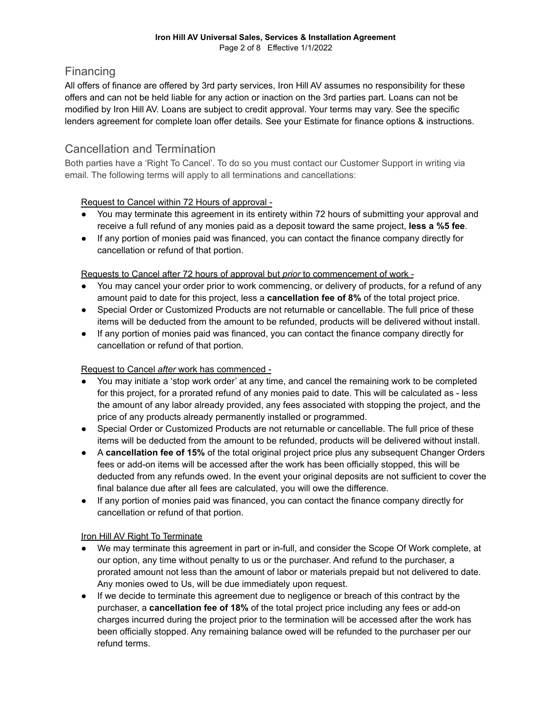### **Financing**

All offers of finance are offered by 3rd party services, Iron Hill AV assumes no responsibility for these offers and can not be held liable for any action or inaction on the 3rd parties part. Loans can not be modified by Iron Hill AV. Loans are subject to credit approval. Your terms may vary. See the specific lenders agreement for complete loan offer details. See your Estimate for finance options & instructions.

### Cancellation and Termination

Both parties have a 'Right To Cancel'. To do so you must contact our Customer Support in writing via email. The following terms will apply to all terminations and cancellations:

#### Request to Cancel within 72 Hours of approval -

- You may terminate this agreement in its entirety within 72 hours of submitting your approval and receive a full refund of any monies paid as a deposit toward the same project, **less a %5 fee**.
- If any portion of monies paid was financed, you can contact the finance company directly for cancellation or refund of that portion.

#### Requests to Cancel after 72 hours of approval but *prior* to commencement of work -

- You may cancel your order prior to work commencing, or delivery of products, for a refund of any amount paid to date for this project, less a **cancellation fee of 8%** of the total project price.
- Special Order or Customized Products are not returnable or cancellable. The full price of these items will be deducted from the amount to be refunded, products will be delivered without install.
- If any portion of monies paid was financed, you can contact the finance company directly for cancellation or refund of that portion.

### Request to Cancel *after* work has commenced -

- You may initiate a 'stop work order' at any time, and cancel the remaining work to be completed for this project, for a prorated refund of any monies paid to date. This will be calculated as - less the amount of any labor already provided, any fees associated with stopping the project, and the price of any products already permanently installed or programmed.
- Special Order or Customized Products are not returnable or cancellable. The full price of these items will be deducted from the amount to be refunded, products will be delivered without install.
- A **cancellation fee of 15%** of the total original project price plus any subsequent Changer Orders fees or add-on items will be accessed after the work has been officially stopped, this will be deducted from any refunds owed. In the event your original deposits are not sufficient to cover the final balance due after all fees are calculated, you will owe the difference.
- If any portion of monies paid was financed, you can contact the finance company directly for cancellation or refund of that portion.

### Iron Hill AV Right To Terminate

- We may terminate this agreement in part or in-full, and consider the Scope Of Work complete, at our option, any time without penalty to us or the purchaser. And refund to the purchaser, a prorated amount not less than the amount of labor or materials prepaid but not delivered to date. Any monies owed to Us, will be due immediately upon request.
- If we decide to terminate this agreement due to negligence or breach of this contract by the purchaser, a **cancellation fee of 18%** of the total project price including any fees or add-on charges incurred during the project prior to the termination will be accessed after the work has been officially stopped. Any remaining balance owed will be refunded to the purchaser per our refund terms.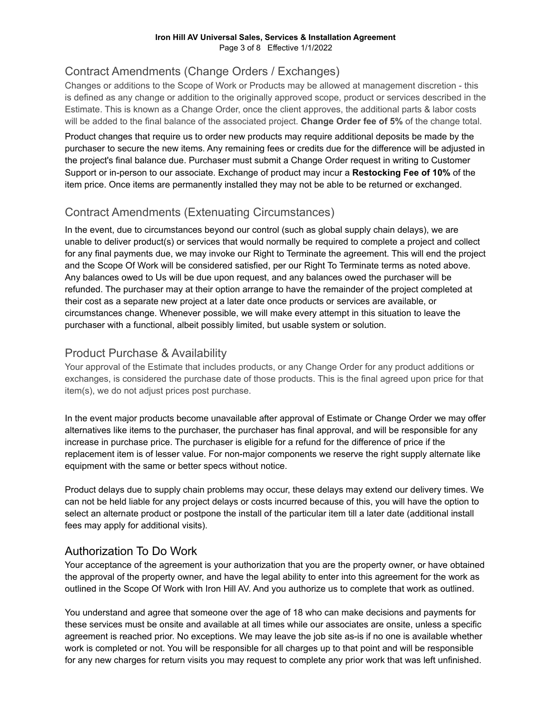## Contract Amendments (Change Orders / Exchanges)

Changes or additions to the Scope of Work or Products may be allowed at management discretion - this is defined as any change or addition to the originally approved scope, product or services described in the Estimate. This is known as a Change Order, once the client approves, the additional parts & labor costs will be added to the final balance of the associated project. **Change Order fee of 5%** of the change total.

Product changes that require us to order new products may require additional deposits be made by the purchaser to secure the new items. Any remaining fees or credits due for the difference will be adjusted in the project's final balance due. Purchaser must submit a Change Order request in writing to Customer Support or in-person to our associate. Exchange of product may incur a **Restocking Fee of 10%** of the item price. Once items are permanently installed they may not be able to be returned or exchanged.

## Contract Amendments (Extenuating Circumstances)

In the event, due to circumstances beyond our control (such as global supply chain delays), we are unable to deliver product(s) or services that would normally be required to complete a project and collect for any final payments due, we may invoke our Right to Terminate the agreement. This will end the project and the Scope Of Work will be considered satisfied, per our Right To Terminate terms as noted above. Any balances owed to Us will be due upon request, and any balances owed the purchaser will be refunded. The purchaser may at their option arrange to have the remainder of the project completed at their cost as a separate new project at a later date once products or services are available, or circumstances change. Whenever possible, we will make every attempt in this situation to leave the purchaser with a functional, albeit possibly limited, but usable system or solution.

## Product Purchase & Availability

Your approval of the Estimate that includes products, or any Change Order for any product additions or exchanges, is considered the purchase date of those products. This is the final agreed upon price for that item(s), we do not adjust prices post purchase.

In the event major products become unavailable after approval of Estimate or Change Order we may offer alternatives like items to the purchaser, the purchaser has final approval, and will be responsible for any increase in purchase price. The purchaser is eligible for a refund for the difference of price if the replacement item is of lesser value. For non-major components we reserve the right supply alternate like equipment with the same or better specs without notice.

Product delays due to supply chain problems may occur, these delays may extend our delivery times. We can not be held liable for any project delays or costs incurred because of this, you will have the option to select an alternate product or postpone the install of the particular item till a later date (additional install fees may apply for additional visits).

### Authorization To Do Work

Your acceptance of the agreement is your authorization that you are the property owner, or have obtained the approval of the property owner, and have the legal ability to enter into this agreement for the work as outlined in the Scope Of Work with Iron Hill AV. And you authorize us to complete that work as outlined.

You understand and agree that someone over the age of 18 who can make decisions and payments for these services must be onsite and available at all times while our associates are onsite, unless a specific agreement is reached prior. No exceptions. We may leave the job site as-is if no one is available whether work is completed or not. You will be responsible for all charges up to that point and will be responsible for any new charges for return visits you may request to complete any prior work that was left unfinished.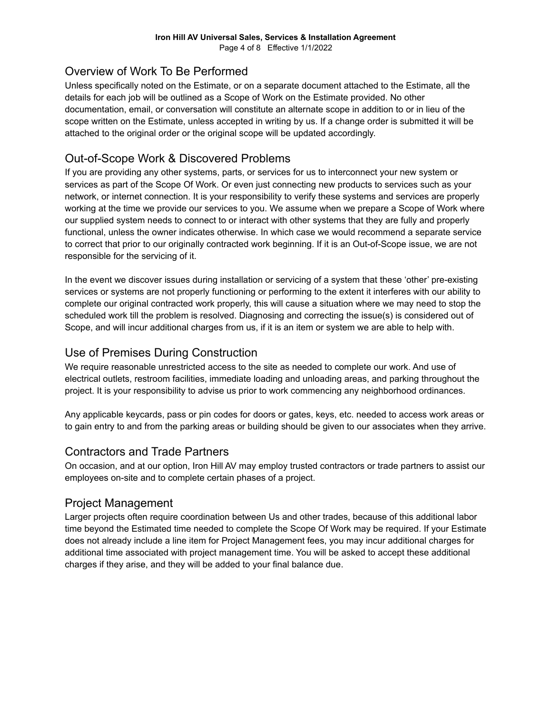## Overview of Work To Be Performed

Unless specifically noted on the Estimate, or on a separate document attached to the Estimate, all the details for each job will be outlined as a Scope of Work on the Estimate provided. No other documentation, email, or conversation will constitute an alternate scope in addition to or in lieu of the scope written on the Estimate, unless accepted in writing by us. If a change order is submitted it will be attached to the original order or the original scope will be updated accordingly.

## Out-of-Scope Work & Discovered Problems

If you are providing any other systems, parts, or services for us to interconnect your new system or services as part of the Scope Of Work. Or even just connecting new products to services such as your network, or internet connection. It is your responsibility to verify these systems and services are properly working at the time we provide our services to you. We assume when we prepare a Scope of Work where our supplied system needs to connect to or interact with other systems that they are fully and properly functional, unless the owner indicates otherwise. In which case we would recommend a separate service to correct that prior to our originally contracted work beginning. If it is an Out-of-Scope issue, we are not responsible for the servicing of it.

In the event we discover issues during installation or servicing of a system that these 'other' pre-existing services or systems are not properly functioning or performing to the extent it interferes with our ability to complete our original contracted work properly, this will cause a situation where we may need to stop the scheduled work till the problem is resolved. Diagnosing and correcting the issue(s) is considered out of Scope, and will incur additional charges from us, if it is an item or system we are able to help with.

## Use of Premises During Construction

We require reasonable unrestricted access to the site as needed to complete our work. And use of electrical outlets, restroom facilities, immediate loading and unloading areas, and parking throughout the project. It is your responsibility to advise us prior to work commencing any neighborhood ordinances.

Any applicable keycards, pass or pin codes for doors or gates, keys, etc. needed to access work areas or to gain entry to and from the parking areas or building should be given to our associates when they arrive.

### Contractors and Trade Partners

On occasion, and at our option, Iron Hill AV may employ trusted contractors or trade partners to assist our employees on-site and to complete certain phases of a project.

### Project Management

Larger projects often require coordination between Us and other trades, because of this additional labor time beyond the Estimated time needed to complete the Scope Of Work may be required. If your Estimate does not already include a line item for Project Management fees, you may incur additional charges for additional time associated with project management time. You will be asked to accept these additional charges if they arise, and they will be added to your final balance due.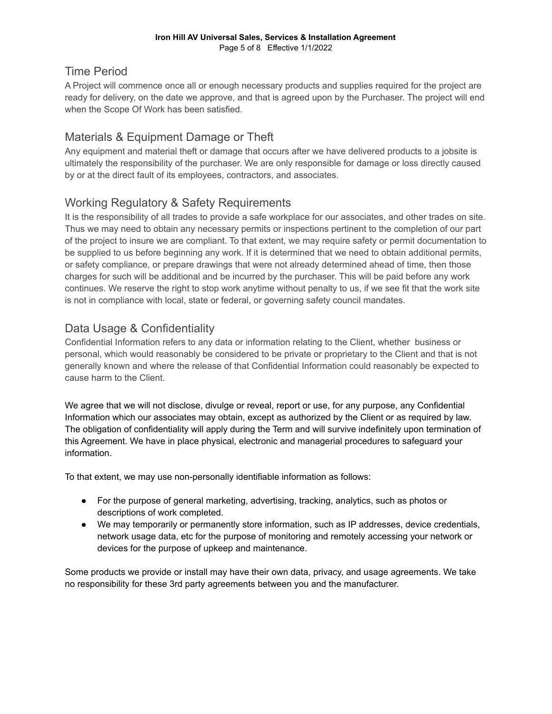## Time Period

A Project will commence once all or enough necessary products and supplies required for the project are ready for delivery, on the date we approve, and that is agreed upon by the Purchaser. The project will end when the Scope Of Work has been satisfied.

# Materials & Equipment Damage or Theft

Any equipment and material theft or damage that occurs after we have delivered products to a jobsite is ultimately the responsibility of the purchaser. We are only responsible for damage or loss directly caused by or at the direct fault of its employees, contractors, and associates.

## Working Regulatory & Safety Requirements

It is the responsibility of all trades to provide a safe workplace for our associates, and other trades on site. Thus we may need to obtain any necessary permits or inspections pertinent to the completion of our part of the project to insure we are compliant. To that extent, we may require safety or permit documentation to be supplied to us before beginning any work. If it is determined that we need to obtain additional permits, or safety compliance, or prepare drawings that were not already determined ahead of time, then those charges for such will be additional and be incurred by the purchaser. This will be paid before any work continues. We reserve the right to stop work anytime without penalty to us, if we see fit that the work site is not in compliance with local, state or federal, or governing safety council mandates.

## Data Usage & Confidentiality

Confidential Information refers to any data or information relating to the Client, whether business or personal, which would reasonably be considered to be private or proprietary to the Client and that is not generally known and where the release of that Confidential Information could reasonably be expected to cause harm to the Client.

We agree that we will not disclose, divulge or reveal, report or use, for any purpose, any Confidential Information which our associates may obtain, except as authorized by the Client or as required by law. The obligation of confidentiality will apply during the Term and will survive indefinitely upon termination of this Agreement. We have in place physical, electronic and managerial procedures to safeguard your information.

To that extent, we may use non-personally identifiable information as follows:

- For the purpose of general marketing, advertising, tracking, analytics, such as photos or descriptions of work completed.
- We may temporarily or permanently store information, such as IP addresses, device credentials, network usage data, etc for the purpose of monitoring and remotely accessing your network or devices for the purpose of upkeep and maintenance.

Some products we provide or install may have their own data, privacy, and usage agreements. We take no responsibility for these 3rd party agreements between you and the manufacturer.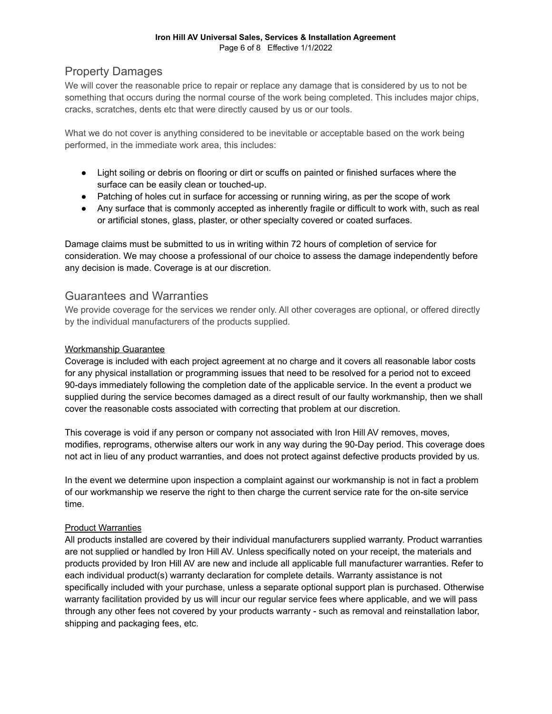#### **Iron Hill AV Universal Sales, Services & Installation Agreement** Page 6 of 8 Effective 1/1/2022

### Property Damages

We will cover the reasonable price to repair or replace any damage that is considered by us to not be something that occurs during the normal course of the work being completed. This includes major chips, cracks, scratches, dents etc that were directly caused by us or our tools.

What we do not cover is anything considered to be inevitable or acceptable based on the work being performed, in the immediate work area, this includes:

- Light soiling or debris on flooring or dirt or scuffs on painted or finished surfaces where the surface can be easily clean or touched-up.
- Patching of holes cut in surface for accessing or running wiring, as per the scope of work
- Any surface that is commonly accepted as inherently fragile or difficult to work with, such as real or artificial stones, glass, plaster, or other specialty covered or coated surfaces.

Damage claims must be submitted to us in writing within 72 hours of completion of service for consideration. We may choose a professional of our choice to assess the damage independently before any decision is made. Coverage is at our discretion.

### Guarantees and Warranties

We provide coverage for the services we render only. All other coverages are optional, or offered directly by the individual manufacturers of the products supplied.

#### Workmanship Guarantee

Coverage is included with each project agreement at no charge and it covers all reasonable labor costs for any physical installation or programming issues that need to be resolved for a period not to exceed 90-days immediately following the completion date of the applicable service. In the event a product we supplied during the service becomes damaged as a direct result of our faulty workmanship, then we shall cover the reasonable costs associated with correcting that problem at our discretion.

This coverage is void if any person or company not associated with Iron Hill AV removes, moves, modifies, reprograms, otherwise alters our work in any way during the 90-Day period. This coverage does not act in lieu of any product warranties, and does not protect against defective products provided by us.

In the event we determine upon inspection a complaint against our workmanship is not in fact a problem of our workmanship we reserve the right to then charge the current service rate for the on-site service time.

#### Product Warranties

All products installed are covered by their individual manufacturers supplied warranty. Product warranties are not supplied or handled by Iron Hill AV. Unless specifically noted on your receipt, the materials and products provided by Iron Hill AV are new and include all applicable full manufacturer warranties. Refer to each individual product(s) warranty declaration for complete details. Warranty assistance is not specifically included with your purchase, unless a separate optional support plan is purchased. Otherwise warranty facilitation provided by us will incur our regular service fees where applicable, and we will pass through any other fees not covered by your products warranty - such as removal and reinstallation labor, shipping and packaging fees, etc.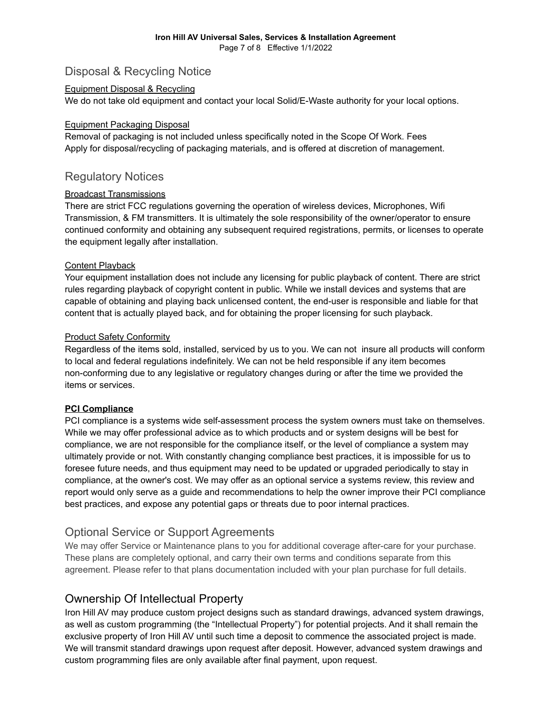### Disposal & Recycling Notice

#### Equipment Disposal & Recycling

We do not take old equipment and contact your local Solid/E-Waste authority for your local options.

#### Equipment Packaging Disposal

Removal of packaging is not included unless specifically noted in the Scope Of Work. Fees Apply for disposal/recycling of packaging materials, and is offered at discretion of management.

### Regulatory Notices

#### Broadcast Transmissions

There are strict FCC regulations governing the operation of wireless devices, Microphones, Wifi Transmission, & FM transmitters. It is ultimately the sole responsibility of the owner/operator to ensure continued conformity and obtaining any subsequent required registrations, permits, or licenses to operate the equipment legally after installation.

#### Content Playback

Your equipment installation does not include any licensing for public playback of content. There are strict rules regarding playback of copyright content in public. While we install devices and systems that are capable of obtaining and playing back unlicensed content, the end-user is responsible and liable for that content that is actually played back, and for obtaining the proper licensing for such playback.

#### Product Safety Conformity

Regardless of the items sold, installed, serviced by us to you. We can not insure all products will conform to local and federal regulations indefinitely. We can not be held responsible if any item becomes non-conforming due to any legislative or regulatory changes during or after the time we provided the items or services.

#### **PCI Compliance**

PCI compliance is a systems wide self-assessment process the system owners must take on themselves. While we may offer professional advice as to which products and or system designs will be best for compliance, we are not responsible for the compliance itself, or the level of compliance a system may ultimately provide or not. With constantly changing compliance best practices, it is impossible for us to foresee future needs, and thus equipment may need to be updated or upgraded periodically to stay in compliance, at the owner's cost. We may offer as an optional service a systems review, this review and report would only serve as a guide and recommendations to help the owner improve their PCI compliance best practices, and expose any potential gaps or threats due to poor internal practices.

### Optional Service or Support Agreements

We may offer Service or Maintenance plans to you for additional coverage after-care for your purchase. These plans are completely optional, and carry their own terms and conditions separate from this agreement. Please refer to that plans documentation included with your plan purchase for full details.

### Ownership Of Intellectual Property

Iron Hill AV may produce custom project designs such as standard drawings, advanced system drawings, as well as custom programming (the "Intellectual Property") for potential projects. And it shall remain the exclusive property of Iron Hill AV until such time a deposit to commence the associated project is made. We will transmit standard drawings upon request after deposit. However, advanced system drawings and custom programming files are only available after final payment, upon request.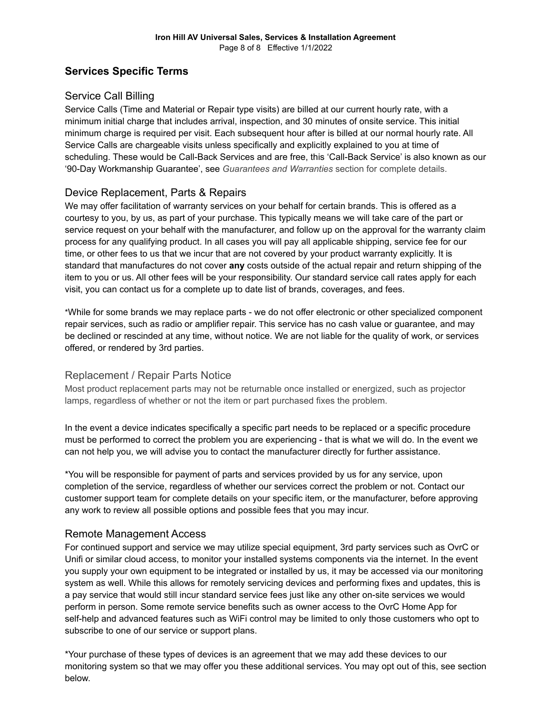### **Services Specific Terms**

### Service Call Billing

Service Calls (Time and Material or Repair type visits) are billed at our current hourly rate, with a minimum initial charge that includes arrival, inspection, and 30 minutes of onsite service. This initial minimum charge is required per visit. Each subsequent hour after is billed at our normal hourly rate. All Service Calls are chargeable visits unless specifically and explicitly explained to you at time of scheduling. These would be Call-Back Services and are free, this 'Call-Back Service' is also known as our '90-Day Workmanship Guarantee', see *Guarantees and Warranties* section for complete details.

### Device Replacement, Parts & Repairs

We may offer facilitation of warranty services on your behalf for certain brands. This is offered as a courtesy to you, by us, as part of your purchase. This typically means we will take care of the part or service request on your behalf with the manufacturer, and follow up on the approval for the warranty claim process for any qualifying product. In all cases you will pay all applicable shipping, service fee for our time, or other fees to us that we incur that are not covered by your product warranty explicitly. It is standard that manufactures do not cover **any** costs outside of the actual repair and return shipping of the item to you or us. All other fees will be your responsibility. Our standard service call rates apply for each visit, you can contact us for a complete up to date list of brands, coverages, and fees.

\*While for some brands we may replace parts - we do not offer electronic or other specialized component repair services, such as radio or amplifier repair. This service has no cash value or guarantee, and may be declined or rescinded at any time, without notice. We are not liable for the quality of work, or services offered, or rendered by 3rd parties.

### Replacement / Repair Parts Notice

Most product replacement parts may not be returnable once installed or energized, such as projector lamps, regardless of whether or not the item or part purchased fixes the problem.

In the event a device indicates specifically a specific part needs to be replaced or a specific procedure must be performed to correct the problem you are experiencing - that is what we will do. In the event we can not help you, we will advise you to contact the manufacturer directly for further assistance.

\*You will be responsible for payment of parts and services provided by us for any service, upon completion of the service, regardless of whether our services correct the problem or not. Contact our customer support team for complete details on your specific item, or the manufacturer, before approving any work to review all possible options and possible fees that you may incur.

### Remote Management Access

For continued support and service we may utilize special equipment, 3rd party services such as OvrC or Unifi or similar cloud access, to monitor your installed systems components via the internet. In the event you supply your own equipment to be integrated or installed by us, it may be accessed via our monitoring system as well. While this allows for remotely servicing devices and performing fixes and updates, this is a pay service that would still incur standard service fees just like any other on-site services we would perform in person. Some remote service benefits such as owner access to the OvrC Home App for self-help and advanced features such as WiFi control may be limited to only those customers who opt to subscribe to one of our service or support plans.

\*Your purchase of these types of devices is an agreement that we may add these devices to our monitoring system so that we may offer you these additional services. You may opt out of this, see section below.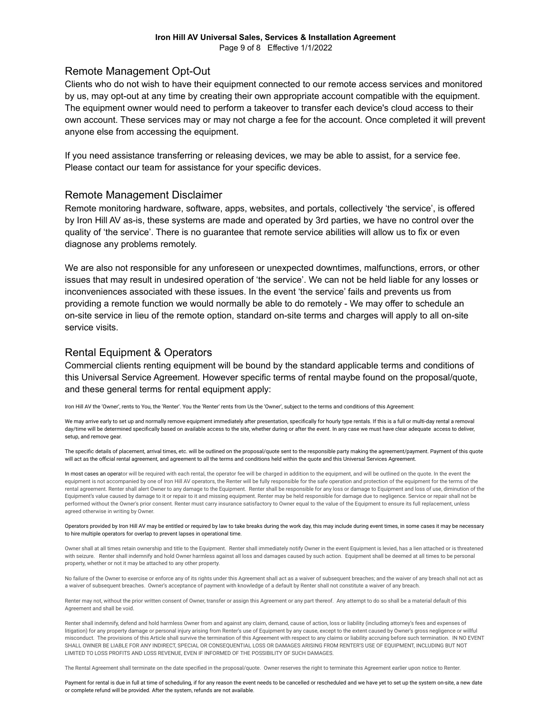#### **Iron Hill AV Universal Sales, Services & Installation Agreement** Page 9 of 8 Effective 1/1/2022

#### Remote Management Opt-Out

Clients who do not wish to have their equipment connected to our remote access services and monitored by us, may opt-out at any time by creating their own appropriate account compatible with the equipment. The equipment owner would need to perform a takeover to transfer each device's cloud access to their own account. These services may or may not charge a fee for the account. Once completed it will prevent anyone else from accessing the equipment.

If you need assistance transferring or releasing devices, we may be able to assist, for a service fee. Please contact our team for assistance for your specific devices.

#### Remote Management Disclaimer

Remote monitoring hardware, software, apps, websites, and portals, collectively 'the service', is offered by Iron Hill AV as-is, these systems are made and operated by 3rd parties, we have no control over the quality of 'the service'. There is no guarantee that remote service abilities will allow us to fix or even diagnose any problems remotely.

We are also not responsible for any unforeseen or unexpected downtimes, malfunctions, errors, or other issues that may result in undesired operation of 'the service'. We can not be held liable for any losses or inconveniences associated with these issues. In the event 'the service' fails and prevents us from providing a remote function we would normally be able to do remotely - We may offer to schedule an on-site service in lieu of the remote option, standard on-site terms and charges will apply to all on-site service visits.

### Rental Equipment & Operators

Commercial clients renting equipment will be bound by the standard applicable terms and conditions of this Universal Service Agreement. However specific terms of rental maybe found on the proposal/quote, and these general terms for rental equipment apply:

Iron Hill AV the 'Owner', rents to You, the 'Renter'. You the 'Renter' rents from Us the 'Owner', subject to the terms and conditions of this Agreement:

We may arrive early to set up and normally remove equipment immediately after presentation, specifically for hourly type rentals. If this is a full or multi-day rental a removal day/time will be determined specifically based on available access to the site, whether during or after the event. In any case we must have clear adequate access to deliver, setup, and remove gear.

The specific details of placement, arrival times, etc. will be outlined on the proposal/quote sent to the responsible party making the agreement/payment. Payment of this quote will act as the official rental agreement, and agreement to all the terms and conditions held within the quote and this Universal Services Agreement.

In most cases an operator will be required with each rental, the operator fee will be charged in addition to the equipment, and will be outlined on the quote. In the event the equipment is not accompanied by one of Iron Hill AV operators, the Renter will be fully responsible for the safe operation and protection of the equipment for the terms of the rental agreement. Renter shall alert Owner to any damage to the Equipment. Renter shall be responsible for any loss or damage to Equipment and loss of use, diminution of the Equipment's value caused by damage to it or repair to it and missing equipment. Renter may be held responsible for damage due to negligence. Service or repair shall not be performed without the Owner's prior consent. Renter must carry insurance satisfactory to Owner equal to the value of the Equipment to ensure its full replacement, unless agreed otherwise in writing by Owner.

#### Operators provided by Iron Hill AV may be entitled or required by law to take breaks during the work day, this may include during event times, in some cases it may be necessary to hire multiple operators for overlap to prevent lapses in operational time.

Owner shall at all times retain ownership and title to the Equipment. Renter shall immediately notify Owner in the event Equipment is levied, has a lien attached or is threatened with seizure. Renter shall indemnify and hold Owner harmless against all loss and damages caused by such action. Equipment shall be deemed at all times to be personal property, whether or not it may be attached to any other property.

No failure of the Owner to exercise or enforce any of its rights under this Agreement shall act as a waiver of subsequent breaches; and the waiver of any breach shall not act as a waiver of subsequent breaches. Owner's acceptance of payment with knowledge of a default by Renter shall not constitute a waiver of any breach.

Renter may not, without the prior written consent of Owner, transfer or assign this Agreement or any part thereof. Any attempt to do so shall be a material default of this Agreement and shall be void.

Renter shall indemnify, defend and hold harmless Owner from and against any claim, demand, cause of action, loss or liability (including attorney's fees and expenses of litigation) for any property damage or personal injury arising from Renter's use of Equipment by any cause, except to the extent caused by Owner's gross negligence or willful misconduct. The provisions of this Article shall survive the termination of this Agreement with respect to any claims or liability accruing before such termination. IN NO EVENT SHALL OWNER BE LIABLE FOR ANY INDIRECT. SPECIAL OR CONSEQUENTIAL LOSS OR DAMAGES ARISING FROM RENTER'S USE OF EQUIPMENT. INCLUDING BUT NOT LIMITED TO LOSS PROFITS AND LOSS REVENUE, EVEN IF INFORMED OF THE POSSIBILITY OF SUCH DAMAGES.

The Rental Agreement shall terminate on the date specified in the proposal/quote. Owner reserves the right to terminate this Agreement earlier upon notice to Renter.

Payment for rental is due in full at time of scheduling, if for any reason the event needs to be cancelled or rescheduled and we have yet to set up the system on-site, a new date or complete refund will be provided. After the system, refunds are not available.